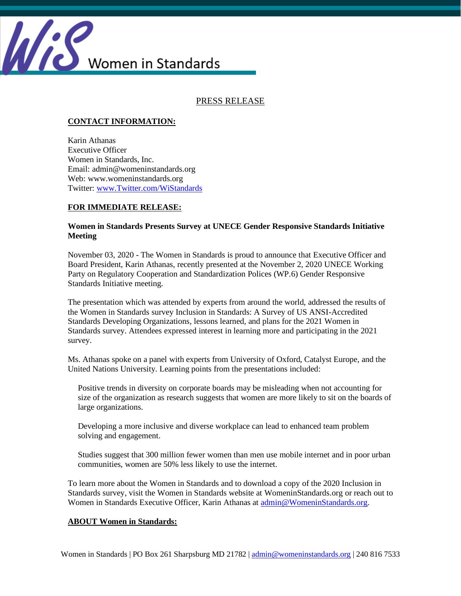

PRESS RELEASE

## **CONTACT INFORMATION:**

Karin Athanas Executive Officer Women in Standards, Inc. Email: admin@womeninstandards.org Web: www.womeninstandards.org Twitter: [www.Twitter.com/WiStandards](http://www.twitter.com/WiStandards)

## **FOR IMMEDIATE RELEASE:**

## **Women in Standards Presents Survey at UNECE Gender Responsive Standards Initiative Meeting**

November 03, 2020 - The Women in Standards is proud to announce that Executive Officer and Board President, Karin Athanas, recently presented at the November 2, 2020 UNECE Working Party on Regulatory Cooperation and Standardization Polices (WP.6) Gender Responsive Standards Initiative meeting.

The presentation which was attended by experts from around the world, addressed the results of the Women in Standards survey Inclusion in Standards: A Survey of US ANSI-Accredited Standards Developing Organizations, lessons learned, and plans for the 2021 Women in Standards survey. Attendees expressed interest in learning more and participating in the 2021 survey.

Ms. Athanas spoke on a panel with experts from University of Oxford, Catalyst Europe, and the United Nations University. Learning points from the presentations included:

Positive trends in diversity on corporate boards may be misleading when not accounting for size of the organization as research suggests that women are more likely to sit on the boards of large organizations.

Developing a more inclusive and diverse workplace can lead to enhanced team problem solving and engagement.

Studies suggest that 300 million fewer women than men use mobile internet and in poor urban communities, women are 50% less likely to use the internet.

To learn more about the Women in Standards and to download a copy of the 2020 Inclusion in Standards survey, visit the Women in Standards website at WomeninStandards.org or reach out to Women in Standards Executive Officer, Karin Athanas at [admin@WomeninStandards.org.](mailto:admin@WomeninStandards.org)

## **ABOUT Women in Standards:**